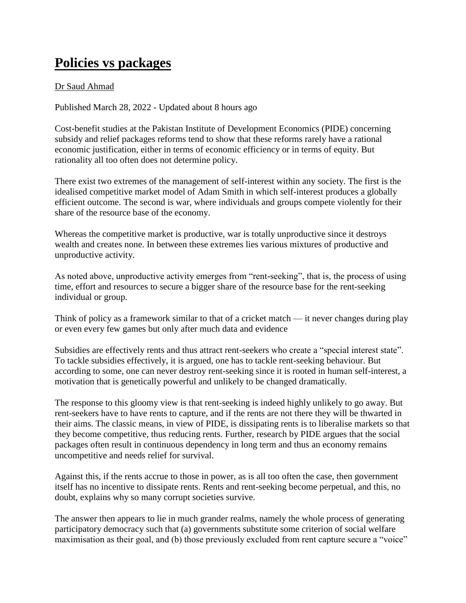## **Policies vs packages**

## Dr Saud Ahmad

Published March 28, 2022 - Updated about 8 hours ago

Cost-benefit studies at the Pakistan Institute of Development Economics (PIDE) concerning subsidy and relief packages reforms tend to show that these reforms rarely have a rational economic justification, either in terms of economic efficiency or in terms of equity. But rationality all too often does not determine policy.

There exist two extremes of the management of self-interest within any society. The first is the idealised competitive market model of Adam Smith in which self-interest produces a globally efficient outcome. The second is war, where individuals and groups compete violently for their share of the resource base of the economy.

Whereas the competitive market is productive, war is totally unproductive since it destroys wealth and creates none. In between these extremes lies various mixtures of productive and unproductive activity.

As noted above, unproductive activity emerges from "rent-seeking", that is, the process of using time, effort and resources to secure a bigger share of the resource base for the rent-seeking individual or group.

Think of policy as a framework similar to that of a cricket match — it never changes during play or even every few games but only after much data and evidence

Subsidies are effectively rents and thus attract rent-seekers who create a "special interest state". To tackle subsidies effectively, it is argued, one has to tackle rent-seeking behaviour. But according to some, one can never destroy rent-seeking since it is rooted in human self-interest, a motivation that is genetically powerful and unlikely to be changed dramatically.

The response to this gloomy view is that rent-seeking is indeed highly unlikely to go away. But rent-seekers have to have rents to capture, and if the rents are not there they will be thwarted in their aims. The classic means, in view of PIDE, is dissipating rents is to liberalise markets so that they become competitive, thus reducing rents. Further, research by PIDE argues that the social packages often result in continuous dependency in long term and thus an economy remains uncompetitive and needs relief for survival.

Against this, if the rents accrue to those in power, as is all too often the case, then government itself has no incentive to dissipate rents. Rents and rent-seeking become perpetual, and this, no doubt, explains why so many corrupt societies survive.

The answer then appears to lie in much grander realms, namely the whole process of generating participatory democracy such that (a) governments substitute some criterion of social welfare maximisation as their goal, and (b) those previously excluded from rent capture secure a "voice"